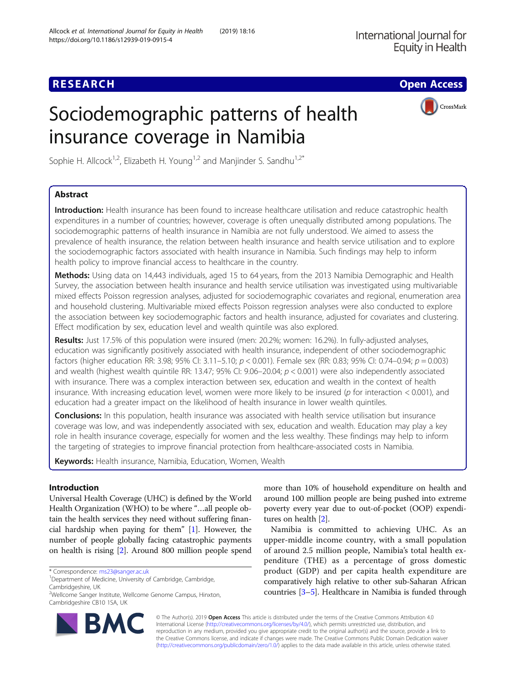# **RESEARCH CHE Open Access**

# Sociodemographic patterns of health insurance coverage in Namibia



Sophie H. Allcock<sup>1,2</sup>, Elizabeth H. Young<sup>1,2</sup> and Manjinder S. Sandhu<sup>1,2\*</sup>

# Abstract

Introduction: Health insurance has been found to increase healthcare utilisation and reduce catastrophic health expenditures in a number of countries; however, coverage is often unequally distributed among populations. The sociodemographic patterns of health insurance in Namibia are not fully understood. We aimed to assess the prevalence of health insurance, the relation between health insurance and health service utilisation and to explore the sociodemographic factors associated with health insurance in Namibia. Such findings may help to inform health policy to improve financial access to healthcare in the country.

Methods: Using data on 14,443 individuals, aged 15 to 64 years, from the 2013 Namibia Demographic and Health Survey, the association between health insurance and health service utilisation was investigated using multivariable mixed effects Poisson regression analyses, adjusted for sociodemographic covariates and regional, enumeration area and household clustering. Multivariable mixed effects Poisson regression analyses were also conducted to explore the association between key sociodemographic factors and health insurance, adjusted for covariates and clustering. Effect modification by sex, education level and wealth quintile was also explored.

Results: Just 17.5% of this population were insured (men: 20.2%; women: 16.2%). In fully-adjusted analyses, education was significantly positively associated with health insurance, independent of other sociodemographic factors (higher education RR: 3.98; 95% CI: 3.11–5.10;  $p < 0.001$ ). Female sex (RR: 0.83; 95% CI: 0.74–0.94;  $p = 0.003$ ) and wealth (highest wealth quintile RR: 13.47; 95% CI: 9.06–20.04;  $p < 0.001$ ) were also independently associated with insurance. There was a complex interaction between sex, education and wealth in the context of health insurance. With increasing education level, women were more likely to be insured ( $p$  for interaction < 0.001), and education had a greater impact on the likelihood of health insurance in lower wealth quintiles.

**Conclusions:** In this population, health insurance was associated with health service utilisation but insurance coverage was low, and was independently associated with sex, education and wealth. Education may play a key role in health insurance coverage, especially for women and the less wealthy. These findings may help to inform the targeting of strategies to improve financial protection from healthcare-associated costs in Namibia.

Keywords: Health insurance, Namibia, Education, Women, Wealth

# Introduction

Universal Health Coverage (UHC) is defined by the World Health Organization (WHO) to be where "…all people obtain the health services they need without suffering financial hardship when paying for them" [[1\]](#page-9-0). However, the number of people globally facing catastrophic payments on health is rising [\[2\]](#page-9-0). Around 800 million people spend

<sup>&</sup>lt;sup>2</sup>Wellcome Sanger Institute, Wellcome Genome Campus, Hinxton, Cambridgeshire CB10 1SA, UK



more than 10% of household expenditure on health and around 100 million people are being pushed into extreme poverty every year due to out-of-pocket (OOP) expenditures on health [[2](#page-9-0)].

Namibia is committed to achieving UHC. As an upper-middle income country, with a small population of around 2.5 million people, Namibia's total health expenditure (THE) as a percentage of gross domestic product (GDP) and per capita health expenditure are comparatively high relative to other sub-Saharan African countries [\[3](#page-9-0)–[5](#page-9-0)]. Healthcare in Namibia is funded through

© The Author(s). 2019 **Open Access** This article is distributed under the terms of the Creative Commons Attribution 4.0 International License [\(http://creativecommons.org/licenses/by/4.0/](http://creativecommons.org/licenses/by/4.0/)), which permits unrestricted use, distribution, and reproduction in any medium, provided you give appropriate credit to the original author(s) and the source, provide a link to the Creative Commons license, and indicate if changes were made. The Creative Commons Public Domain Dedication waiver [\(http://creativecommons.org/publicdomain/zero/1.0/](http://creativecommons.org/publicdomain/zero/1.0/)) applies to the data made available in this article, unless otherwise stated.

<sup>\*</sup> Correspondence: [ms23@sanger.ac.uk](mailto:ms23@sanger.ac.uk) <sup>1</sup>

<sup>&</sup>lt;sup>1</sup>Department of Medicine, University of Cambridge, Cambridge, Cambridgeshire, UK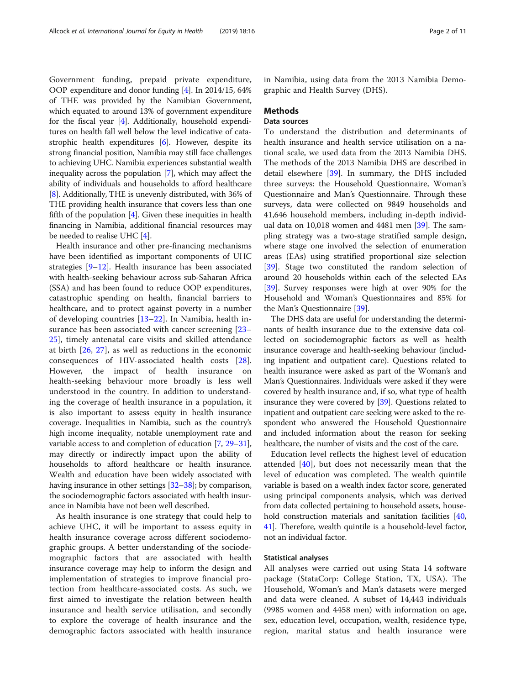Government funding, prepaid private expenditure, OOP expenditure and donor funding [[4](#page-9-0)]. In 2014/15, 64% of THE was provided by the Namibian Government, which equated to around 13% of government expenditure for the fiscal year [\[4\]](#page-9-0). Additionally, household expenditures on health fall well below the level indicative of catastrophic health expenditures [\[6\]](#page-9-0). However, despite its strong financial position, Namibia may still face challenges to achieving UHC. Namibia experiences substantial wealth inequality across the population [\[7](#page-9-0)], which may affect the ability of individuals and households to afford healthcare [[8\]](#page-9-0). Additionally, THE is unevenly distributed, with 36% of THE providing health insurance that covers less than one fifth of the population  $[4]$ . Given these inequities in health financing in Namibia, additional financial resources may be needed to realise UHC [\[4](#page-9-0)].

Health insurance and other pre-financing mechanisms have been identified as important components of UHC strategies [\[9](#page-9-0)–[12\]](#page-10-0). Health insurance has been associated with health-seeking behaviour across sub-Saharan Africa (SSA) and has been found to reduce OOP expenditures, catastrophic spending on health, financial barriers to healthcare, and to protect against poverty in a number of developing countries [[13](#page-10-0)–[22\]](#page-10-0). In Namibia, health insurance has been associated with cancer screening [[23](#page-10-0)– [25\]](#page-10-0), timely antenatal care visits and skilled attendance at birth [[26](#page-10-0), [27\]](#page-10-0), as well as reductions in the economic consequences of HIV-associated health costs [\[28](#page-10-0)]. However, the impact of health insurance on health-seeking behaviour more broadly is less well understood in the country. In addition to understanding the coverage of health insurance in a population, it is also important to assess equity in health insurance coverage. Inequalities in Namibia, such as the country's high income inequality, notable unemployment rate and variable access to and completion of education [\[7](#page-9-0), [29](#page-10-0)–[31](#page-10-0)], may directly or indirectly impact upon the ability of households to afford healthcare or health insurance. Wealth and education have been widely associated with having insurance in other settings [[32](#page-10-0)–[38\]](#page-10-0); by comparison, the sociodemographic factors associated with health insurance in Namibia have not been well described.

As health insurance is one strategy that could help to achieve UHC, it will be important to assess equity in health insurance coverage across different sociodemographic groups. A better understanding of the sociodemographic factors that are associated with health insurance coverage may help to inform the design and implementation of strategies to improve financial protection from healthcare-associated costs. As such, we first aimed to investigate the relation between health insurance and health service utilisation, and secondly to explore the coverage of health insurance and the demographic factors associated with health insurance

in Namibia, using data from the 2013 Namibia Demographic and Health Survey (DHS).

# Methods

# Data sources

To understand the distribution and determinants of health insurance and health service utilisation on a national scale, we used data from the 2013 Namibia DHS. The methods of the 2013 Namibia DHS are described in detail elsewhere [[39](#page-10-0)]. In summary, the DHS included three surveys: the Household Questionnaire, Woman's Questionnaire and Man's Questionnaire. Through these surveys, data were collected on 9849 households and 41,646 household members, including in-depth individual data on  $10,018$  women and  $4481$  men  $[39]$  $[39]$ . The sampling strategy was a two-stage stratified sample design, where stage one involved the selection of enumeration areas (EAs) using stratified proportional size selection [[39\]](#page-10-0). Stage two constituted the random selection of around 20 households within each of the selected EAs [[39\]](#page-10-0). Survey responses were high at over 90% for the Household and Woman's Questionnaires and 85% for the Man's Questionnaire [[39](#page-10-0)].

The DHS data are useful for understanding the determinants of health insurance due to the extensive data collected on sociodemographic factors as well as health insurance coverage and health-seeking behaviour (including inpatient and outpatient care). Questions related to health insurance were asked as part of the Woman's and Man's Questionnaires. Individuals were asked if they were covered by health insurance and, if so, what type of health insurance they were covered by [[39](#page-10-0)]. Questions related to inpatient and outpatient care seeking were asked to the respondent who answered the Household Questionnaire and included information about the reason for seeking healthcare, the number of visits and the cost of the care.

Education level reflects the highest level of education attended [\[40](#page-10-0)], but does not necessarily mean that the level of education was completed. The wealth quintile variable is based on a wealth index factor score, generated using principal components analysis, which was derived from data collected pertaining to household assets, house-hold construction materials and sanitation facilities [[40](#page-10-0), [41](#page-10-0)]. Therefore, wealth quintile is a household-level factor, not an individual factor.

# Statistical analyses

All analyses were carried out using Stata 14 software package (StataCorp: College Station, TX, USA). The Household, Woman's and Man's datasets were merged and data were cleaned. A subset of 14,443 individuals (9985 women and 4458 men) with information on age, sex, education level, occupation, wealth, residence type, region, marital status and health insurance were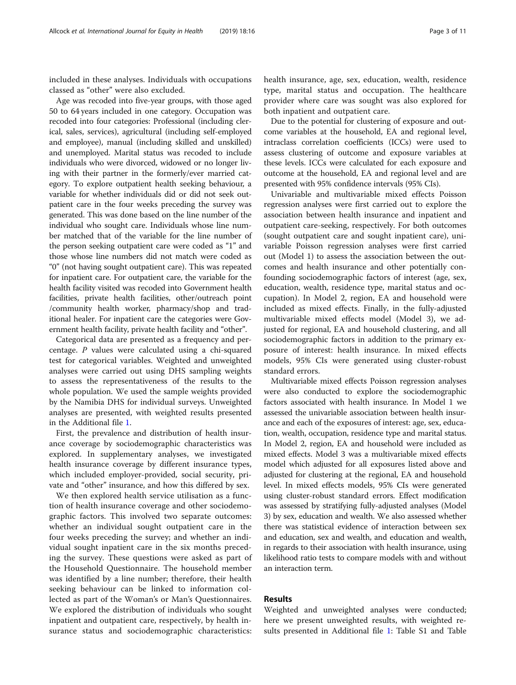included in these analyses. Individuals with occupations classed as "other" were also excluded.

Age was recoded into five-year groups, with those aged 50 to 64 years included in one category. Occupation was recoded into four categories: Professional (including clerical, sales, services), agricultural (including self-employed and employee), manual (including skilled and unskilled) and unemployed. Marital status was recoded to include individuals who were divorced, widowed or no longer living with their partner in the formerly/ever married category. To explore outpatient health seeking behaviour, a variable for whether individuals did or did not seek outpatient care in the four weeks preceding the survey was generated. This was done based on the line number of the individual who sought care. Individuals whose line number matched that of the variable for the line number of the person seeking outpatient care were coded as "1" and those whose line numbers did not match were coded as "0" (not having sought outpatient care). This was repeated for inpatient care. For outpatient care, the variable for the health facility visited was recoded into Government health facilities, private health facilities, other/outreach point /community health worker, pharmacy/shop and traditional healer. For inpatient care the categories were Government health facility, private health facility and "other".

Categorical data are presented as a frequency and percentage. P values were calculated using a chi-squared test for categorical variables. Weighted and unweighted analyses were carried out using DHS sampling weights to assess the representativeness of the results to the whole population. We used the sample weights provided by the Namibia DHS for individual surveys. Unweighted analyses are presented, with weighted results presented in the Additional file [1.](#page-9-0)

First, the prevalence and distribution of health insurance coverage by sociodemographic characteristics was explored. In supplementary analyses, we investigated health insurance coverage by different insurance types, which included employer-provided, social security, private and "other" insurance, and how this differed by sex.

We then explored health service utilisation as a function of health insurance coverage and other sociodemographic factors. This involved two separate outcomes: whether an individual sought outpatient care in the four weeks preceding the survey; and whether an individual sought inpatient care in the six months preceding the survey. These questions were asked as part of the Household Questionnaire. The household member was identified by a line number; therefore, their health seeking behaviour can be linked to information collected as part of the Woman's or Man's Questionnaires. We explored the distribution of individuals who sought inpatient and outpatient care, respectively, by health insurance status and sociodemographic characteristics:

health insurance, age, sex, education, wealth, residence type, marital status and occupation. The healthcare provider where care was sought was also explored for both inpatient and outpatient care.

Due to the potential for clustering of exposure and outcome variables at the household, EA and regional level, intraclass correlation coefficients (ICCs) were used to assess clustering of outcome and exposure variables at these levels. ICCs were calculated for each exposure and outcome at the household, EA and regional level and are presented with 95% confidence intervals (95% CIs).

Univariable and multivariable mixed effects Poisson regression analyses were first carried out to explore the association between health insurance and inpatient and outpatient care-seeking, respectively. For both outcomes (sought outpatient care and sought inpatient care), univariable Poisson regression analyses were first carried out (Model 1) to assess the association between the outcomes and health insurance and other potentially confounding sociodemographic factors of interest (age, sex, education, wealth, residence type, marital status and occupation). In Model 2, region, EA and household were included as mixed effects. Finally, in the fully-adjusted multivariable mixed effects model (Model 3), we adjusted for regional, EA and household clustering, and all sociodemographic factors in addition to the primary exposure of interest: health insurance. In mixed effects models, 95% CIs were generated using cluster-robust standard errors.

Multivariable mixed effects Poisson regression analyses were also conducted to explore the sociodemographic factors associated with health insurance. In Model 1 we assessed the univariable association between health insurance and each of the exposures of interest: age, sex, education, wealth, occupation, residence type and marital status. In Model 2, region, EA and household were included as mixed effects. Model 3 was a multivariable mixed effects model which adjusted for all exposures listed above and adjusted for clustering at the regional, EA and household level. In mixed effects models, 95% CIs were generated using cluster-robust standard errors. Effect modification was assessed by stratifying fully-adjusted analyses (Model 3) by sex, education and wealth. We also assessed whether there was statistical evidence of interaction between sex and education, sex and wealth, and education and wealth, in regards to their association with health insurance, using likelihood ratio tests to compare models with and without an interaction term.

# Results

Weighted and unweighted analyses were conducted; here we present unweighted results, with weighted results presented in Additional file [1](#page-9-0): Table S1 and Table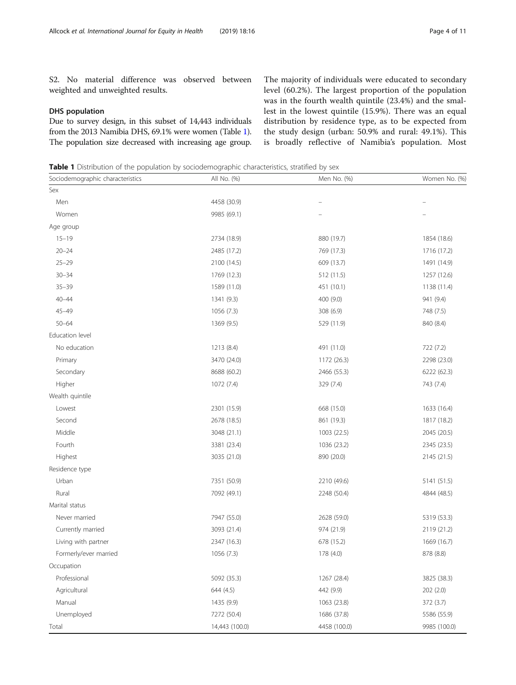<span id="page-3-0"></span>S2. No material difference was observed between weighted and unweighted results.

# DHS population

Due to survey design, in this subset of 14,443 individuals from the 2013 Namibia DHS, 69.1% were women (Table 1). The population size decreased with increasing age group. The majority of individuals were educated to secondary level (60.2%). The largest proportion of the population was in the fourth wealth quintile (23.4%) and the smallest in the lowest quintile (15.9%). There was an equal distribution by residence type, as to be expected from the study design (urban: 50.9% and rural: 49.1%). This is broadly reflective of Namibia's population. Most

Table 1 Distribution of the population by sociodemographic characteristics, stratified by sex

| Sociodemographic characteristics | All No. (%)    | Men No. (%)  | Women No. (%) |
|----------------------------------|----------------|--------------|---------------|
| Sex                              |                |              |               |
| Men                              | 4458 (30.9)    |              |               |
| Women                            | 9985 (69.1)    |              |               |
| Age group                        |                |              |               |
| $15 - 19$                        | 2734 (18.9)    | 880 (19.7)   | 1854 (18.6)   |
| $20 - 24$                        | 2485 (17.2)    | 769 (17.3)   | 1716 (17.2)   |
| $25 - 29$                        | 2100 (14.5)    | 609 (13.7)   | 1491 (14.9)   |
| $30 - 34$                        | 1769 (12.3)    | 512 (11.5)   | 1257 (12.6)   |
| $35 - 39$                        | 1589 (11.0)    | 451 (10.1)   | 1138 (11.4)   |
| $40 - 44$                        | 1341 (9.3)     | 400 (9.0)    | 941 (9.4)     |
| $45 - 49$                        | 1056 (7.3)     | 308 (6.9)    | 748 (7.5)     |
| $50 - 64$                        | 1369 (9.5)     | 529 (11.9)   | 840 (8.4)     |
| Education level                  |                |              |               |
| No education                     | 1213 (8.4)     | 491 (11.0)   | 722 (7.2)     |
| Primary                          | 3470 (24.0)    | 1172 (26.3)  | 2298 (23.0)   |
| Secondary                        | 8688 (60.2)    | 2466 (55.3)  | 6222 (62.3)   |
| Higher                           | 1072 (7.4)     | 329 (7.4)    | 743 (7.4)     |
| Wealth quintile                  |                |              |               |
| Lowest                           | 2301 (15.9)    | 668 (15.0)   | 1633 (16.4)   |
| Second                           | 2678 (18.5)    | 861 (19.3)   | 1817 (18.2)   |
| Middle                           | 3048 (21.1)    | 1003 (22.5)  | 2045 (20.5)   |
| Fourth                           | 3381 (23.4)    | 1036 (23.2)  | 2345 (23.5)   |
| Highest                          | 3035 (21.0)    | 890 (20.0)   | 2145 (21.5)   |
| Residence type                   |                |              |               |
| Urban                            | 7351 (50.9)    | 2210 (49.6)  | 5141 (51.5)   |
| Rural                            | 7092 (49.1)    | 2248 (50.4)  | 4844 (48.5)   |
| Marital status                   |                |              |               |
| Never married                    | 7947 (55.0)    | 2628 (59.0)  | 5319 (53.3)   |
| Currently married                | 3093 (21.4)    | 974 (21.9)   | 2119 (21.2)   |
| Living with partner              | 2347 (16.3)    | 678 (15.2)   | 1669 (16.7)   |
| Formerly/ever married            | 1056 (7.3)     | 178 (4.0)    | 878 (8.8)     |
| Occupation                       |                |              |               |
| Professional                     | 5092 (35.3)    | 1267 (28.4)  | 3825 (38.3)   |
| Agricultural                     | 644 (4.5)      | 442 (9.9)    | 202 (2.0)     |
| Manual                           | 1435 (9.9)     | 1063 (23.8)  | 372 (3.7)     |
| Unemployed                       | 7272 (50.4)    | 1686 (37.8)  | 5586 (55.9)   |
| Total                            | 14,443 (100.0) | 4458 (100.0) | 9985 (100.0)  |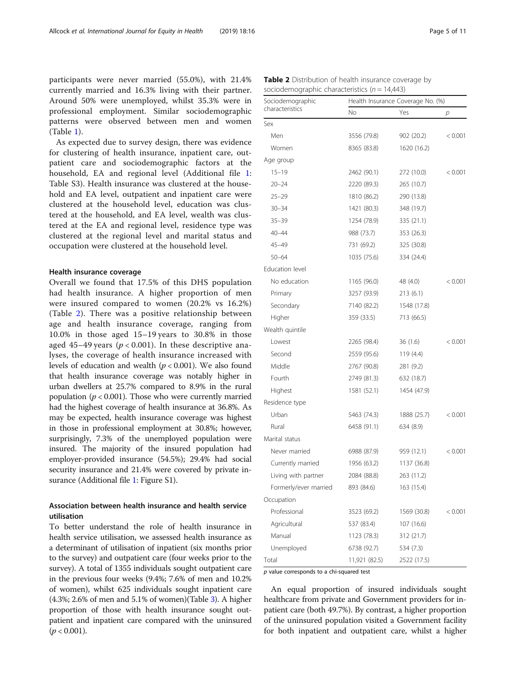participants were never married (55.0%), with 21.4% currently married and 16.3% living with their partner. Around 50% were unemployed, whilst 35.3% were in professional employment. Similar sociodemographic patterns were observed between men and women (Table [1\)](#page-3-0).

As expected due to survey design, there was evidence for clustering of health insurance, inpatient care, outpatient care and sociodemographic factors at the household, EA and regional level (Additional file [1](#page-9-0): Table S3). Health insurance was clustered at the household and EA level, outpatient and inpatient care were clustered at the household level, education was clustered at the household, and EA level, wealth was clustered at the EA and regional level, residence type was clustered at the regional level and marital status and occupation were clustered at the household level.

## Health insurance coverage

Overall we found that 17.5% of this DHS population had health insurance. A higher proportion of men were insured compared to women (20.2% vs 16.2%) (Table 2). There was a positive relationship between age and health insurance coverage, ranging from 10.0% in those aged 15–19 years to 30.8% in those aged 45–49 years ( $p < 0.001$ ). In these descriptive analyses, the coverage of health insurance increased with levels of education and wealth ( $p < 0.001$ ). We also found that health insurance coverage was notably higher in urban dwellers at 25.7% compared to 8.9% in the rural population ( $p < 0.001$ ). Those who were currently married had the highest coverage of health insurance at 36.8%. As may be expected, health insurance coverage was highest in those in professional employment at 30.8%; however, surprisingly, 7.3% of the unemployed population were insured. The majority of the insured population had employer-provided insurance (54.5%); 29.4% had social security insurance and 21.4% were covered by private in-surance (Additional file [1:](#page-9-0) Figure S1).

# Association between health insurance and health service utilisation

To better understand the role of health insurance in health service utilisation, we assessed health insurance as a determinant of utilisation of inpatient (six months prior to the survey) and outpatient care (four weeks prior to the survey). A total of 1355 individuals sought outpatient care in the previous four weeks (9.4%; 7.6% of men and 10.2% of women), whilst 625 individuals sought inpatient care (4.3%; 2.6% of men and 5.1% of women)(Table [3\)](#page-5-0). A higher proportion of those with health insurance sought outpatient and inpatient care compared with the uninsured  $(p < 0.001)$ .

| Table 2 Distribution of health insurance coverage by |  |
|------------------------------------------------------|--|
| sociodemographic characteristics ( $n = 14,443$ )    |  |

| Sociodemographic      | Health Insurance Coverage No. (%) |             |         |  |  |
|-----------------------|-----------------------------------|-------------|---------|--|--|
| characteristics       | No                                | Yes         | р       |  |  |
| Sex                   |                                   |             |         |  |  |
| Men                   | 3556 (79.8)                       | 902 (20.2)  | < 0.001 |  |  |
| Women                 | 8365 (83.8)                       | 1620 (16.2) |         |  |  |
| Age group             |                                   |             |         |  |  |
| $15 - 19$             | 2462 (90.1)                       | 272 (10.0)  | < 0.001 |  |  |
| $20 - 24$             | 2220 (89.3)                       | 265 (10.7)  |         |  |  |
| $25 - 29$             | 1810 (86.2)                       | 290 (13.8)  |         |  |  |
| $30 - 34$             | 1421 (80.3)                       | 348 (19.7)  |         |  |  |
| $35 - 39$             | 1254 (78.9)                       | 335 (21.1)  |         |  |  |
| $40 - 44$             | 988 (73.7)                        | 353 (26.3)  |         |  |  |
| $45 - 49$             | 731 (69.2)                        | 325 (30.8)  |         |  |  |
| $50 - 64$             | 1035 (75.6)                       | 334 (24.4)  |         |  |  |
| Education level       |                                   |             |         |  |  |
| No education          | 1165 (96.0)                       | 48 (4.0)    | < 0.001 |  |  |
| Primary               | 3257 (93.9)                       | 213(6.1)    |         |  |  |
| Secondary             | 7140 (82.2)                       | 1548 (17.8) |         |  |  |
| Higher                | 359 (33.5)                        | 713 (66.5)  |         |  |  |
| Wealth quintile       |                                   |             |         |  |  |
| Lowest                | 2265 (98.4)                       | 36(1.6)     | < 0.001 |  |  |
| Second                | 2559 (95.6)                       | 119 (4.4)   |         |  |  |
| Middle                | 2767 (90.8)                       | 281 (9.2)   |         |  |  |
| Fourth                | 2749 (81.3)                       | 632 (18.7)  |         |  |  |
| Highest               | 1581 (52.1)                       | 1454 (47.9) |         |  |  |
| Residence type        |                                   |             |         |  |  |
| Urban                 | 5463 (74.3)                       | 1888 (25.7) | < 0.001 |  |  |
| Rural                 | 6458 (91.1)                       | 634 (8.9)   |         |  |  |
| Marital status        |                                   |             |         |  |  |
| Never married         | 6988 (87.9)                       | 959 (12.1)  | < 0.001 |  |  |
| Currently married     | 1956 (63.2)                       | 1137 (36.8) |         |  |  |
| Living with partner   | 2084 (88.8)                       | 263 (11.2)  |         |  |  |
| Formerly/ever married | 893 (84.6)                        | 163 (15.4)  |         |  |  |
| Occupation            |                                   |             |         |  |  |
| Professional          | 3523 (69.2)                       | 1569 (30.8) | < 0.001 |  |  |
| Agricultural          | 537 (83.4)                        | 107 (16.6)  |         |  |  |
| Manual                | 1123 (78.3)                       | 312 (21.7)  |         |  |  |
| Unemployed            | 6738 (92.7)                       | 534 (7.3)   |         |  |  |
| Total                 | 11,921 (82.5)                     | 2522 (17.5) |         |  |  |

p value corresponds to a chi-squared test

An equal proportion of insured individuals sought healthcare from private and Government providers for inpatient care (both 49.7%). By contrast, a higher proportion of the uninsured population visited a Government facility for both inpatient and outpatient care, whilst a higher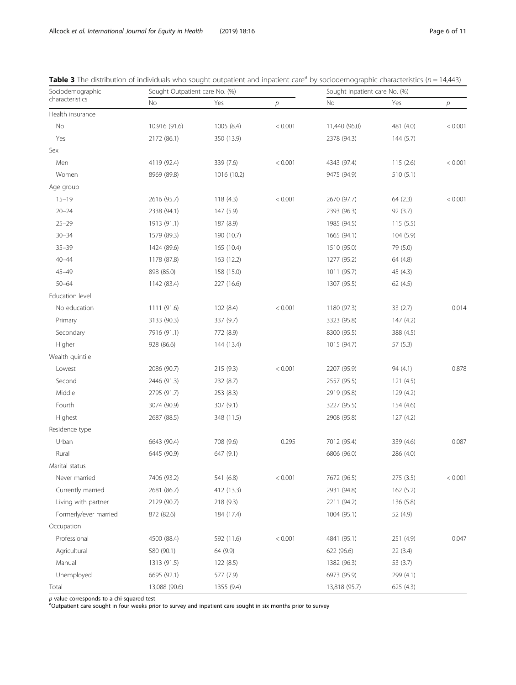| Sociodemographic<br>characteristics | Sought Outpatient care No. (%) |             |                | Sought Inpatient care No. (%) |            |         |
|-------------------------------------|--------------------------------|-------------|----------------|-------------------------------|------------|---------|
|                                     | No                             | Yes         | $\overline{p}$ | No                            | Yes        | $\,p\,$ |
| Health insurance                    |                                |             |                |                               |            |         |
| No                                  | 10,916 (91.6)                  | 1005(8.4)   | < 0.001        | 11,440 (96.0)                 | 481 (4.0)  | < 0.001 |
| Yes                                 | 2172 (86.1)                    | 350 (13.9)  |                | 2378 (94.3)                   | 144(5.7)   |         |
| Sex                                 |                                |             |                |                               |            |         |
| Men                                 | 4119 (92.4)                    | 339 (7.6)   | < 0.001        | 4343 (97.4)                   | 115(2.6)   | < 0.001 |
| Women                               | 8969 (89.8)                    | 1016 (10.2) |                | 9475 (94.9)                   | 510(5.1)   |         |
| Age group                           |                                |             |                |                               |            |         |
| $15 - 19$                           | 2616 (95.7)                    | 118(4.3)    | < 0.001        | 2670 (97.7)                   | 64(2.3)    | < 0.001 |
| $20 - 24$                           | 2338 (94.1)                    | 147 (5.9)   |                | 2393 (96.3)                   | 92 (3.7)   |         |
| $25 - 29$                           | 1913 (91.1)                    | 187 (8.9)   |                | 1985 (94.5)                   | 115(5.5)   |         |
| $30 - 34$                           | 1579 (89.3)                    | 190 (10.7)  |                | 1665 (94.1)                   | 104(5.9)   |         |
| $35 - 39$                           | 1424 (89.6)                    | 165 (10.4)  |                | 1510 (95.0)                   | 79 (5.0)   |         |
| $40 - 44$                           | 1178 (87.8)                    | 163 (12.2)  |                | 1277 (95.2)                   | 64 (4.8)   |         |
| $45 - 49$                           | 898 (85.0)                     | 158 (15.0)  |                | 1011 (95.7)                   | 45 (4.3)   |         |
| $50 - 64$                           | 1142 (83.4)                    | 227 (16.6)  |                | 1307 (95.5)                   | 62(4.5)    |         |
| Education level                     |                                |             |                |                               |            |         |
| No education                        | 1111(91.6)                     | 102(8.4)    | < 0.001        | 1180 (97.3)                   | 33(2.7)    | 0.014   |
| Primary                             | 3133 (90.3)                    | 337 (9.7)   |                | 3323 (95.8)                   | 147(4.2)   |         |
| Secondary                           | 7916 (91.1)                    | 772 (8.9)   |                | 8300 (95.5)                   | 388 (4.5)  |         |
| Higher                              | 928 (86.6)                     | 144 (13.4)  |                | 1015 (94.7)                   | 57(5.3)    |         |
| Wealth quintile                     |                                |             |                |                               |            |         |
| Lowest                              | 2086 (90.7)                    | 215 (9.3)   | < 0.001        | 2207 (95.9)                   | 94 (4.1)   | 0.878   |
| Second                              | 2446 (91.3)                    | 232 (8.7)   |                | 2557 (95.5)                   | 121(4.5)   |         |
| Middle                              | 2795 (91.7)                    | 253 (8.3)   |                | 2919 (95.8)                   | 129(4.2)   |         |
| Fourth                              | 3074 (90.9)                    | 307 (9.1)   |                | 3227 (95.5)                   | 154 (4.6)  |         |
| Highest                             | 2687 (88.5)                    | 348 (11.5)  |                | 2908 (95.8)                   | 127(4.2)   |         |
| Residence type                      |                                |             |                |                               |            |         |
| Urban                               | 6643 (90.4)                    | 708 (9.6)   | 0.295          | 7012 (95.4)                   | 339 (4.6)  | 0.087   |
| Rural                               | 6445 (90.9)                    | 647 (9.1)   |                | 6806 (96.0)                   | 286 (4.0)  |         |
| Marital status                      |                                |             |                |                               |            |         |
| Never married                       | 7406 (93.2)                    | 541 (6.8)   | < 0.001        | 7672 (96.5)                   | 275 (3.5)  | < 0.001 |
| Currently married                   | 2681 (86.7)                    | 412 (13.3)  |                | 2931 (94.8)                   | 162(5.2)   |         |
| Living with partner                 | 2129 (90.7)                    | 218(9.3)    |                | 2211 (94.2)                   | 136 (5.8)  |         |
| Formerly/ever married               | 872 (82.6)                     | 184 (17.4)  |                | 1004 (95.1)                   | 52 (4.9)   |         |
| Occupation                          |                                |             |                |                               |            |         |
| Professional                        | 4500 (88.4)                    | 592 (11.6)  | < 0.001        | 4841 (95.1)                   | 251 (4.9)  | 0.047   |
| Agricultural                        | 580 (90.1)                     | 64 (9.9)    |                | 622 (96.6)                    | 22(3.4)    |         |
| Manual                              | 1313 (91.5)                    | 122 (8.5)   |                | 1382 (96.3)                   | 53 $(3.7)$ |         |
| Unemployed                          | 6695 (92.1)                    | 577 (7.9)   |                | 6973 (95.9)                   | 299 (4.1)  |         |
| Total                               | 13,088 (90.6)                  | 1355 (9.4)  |                | 13,818 (95.7)                 | 625 (4.3)  |         |

<span id="page-5-0"></span>

|  |  |  | Table 3 The distribution of individuals who sought outpatient and inpatient care <sup>a</sup> by sociodemographic characteristics (n = 14,443) |
|--|--|--|------------------------------------------------------------------------------------------------------------------------------------------------|
|  |  |  |                                                                                                                                                |

p value corresponds to a chi-squared test<br><sup>a</sup>Outpatient care sought in four weeks prior to survey and inpatient care sought in six months prior to survey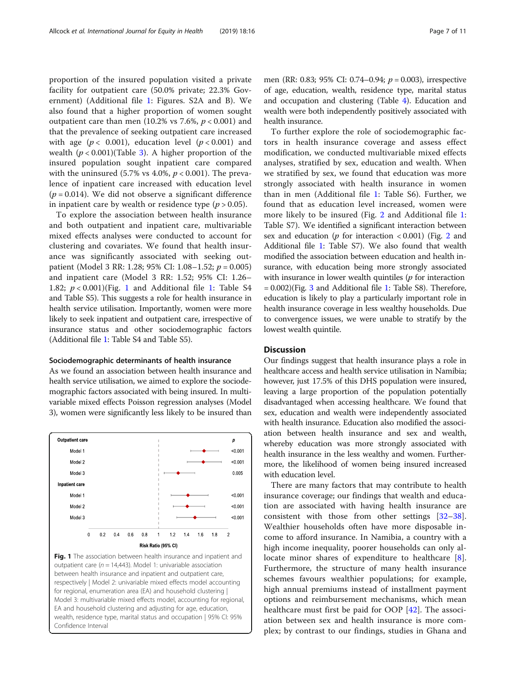proportion of the insured population visited a private facility for outpatient care (50.0% private; 22.3% Government) (Additional file [1](#page-9-0): Figures. S2A and B). We also found that a higher proportion of women sought outpatient care than men (10.2% vs 7.6%,  $p < 0.001$ ) and that the prevalence of seeking outpatient care increased with age ( $p < 0.001$ ), education level ( $p < 0.001$ ) and wealth  $(p < 0.001)$ (Table [3\)](#page-5-0). A higher proportion of the insured population sought inpatient care compared with the uninsured (5.7% vs 4.0%,  $p < 0.001$ ). The prevalence of inpatient care increased with education level  $(p = 0.014)$ . We did not observe a significant difference in inpatient care by wealth or residence type  $(p > 0.05)$ .

To explore the association between health insurance and both outpatient and inpatient care, multivariable mixed effects analyses were conducted to account for clustering and covariates. We found that health insurance was significantly associated with seeking outpatient (Model 3 RR: 1.28; 95% CI: 1.08–1.52;  $p = 0.005$ ) and inpatient care (Model 3 RR: 1.52; 95% CI: 1.26– 1.82;  $p < 0.001$ )(Fig. 1 and Additional file [1:](#page-9-0) Table S4 and Table S5). This suggests a role for health insurance in health service utilisation. Importantly, women were more likely to seek inpatient and outpatient care, irrespective of insurance status and other sociodemographic factors (Additional file [1](#page-9-0): Table S4 and Table S5).

# Sociodemographic determinants of health insurance

As we found an association between health insurance and health service utilisation, we aimed to explore the sociodemographic factors associated with being insured. In multivariable mixed effects Poisson regression analyses (Model 3), women were significantly less likely to be insured than



men (RR: 0.83; 95% CI: 0.74–0.94; p = 0.003), irrespective of age, education, wealth, residence type, marital status and occupation and clustering (Table [4](#page-7-0)). Education and wealth were both independently positively associated with health insurance.

To further explore the role of sociodemographic factors in health insurance coverage and assess effect modification, we conducted multivariable mixed effects analyses, stratified by sex, education and wealth. When we stratified by sex, we found that education was more strongly associated with health insurance in women than in men (Additional file [1:](#page-9-0) Table S6). Further, we found that as education level increased, women were more likely to be insured (Fig. [2](#page-8-0) and Additional file [1](#page-9-0): Table S7). We identified a significant interaction between sex and education ( $p$  for interaction < 0.001) (Fig. [2](#page-8-0) and Additional file [1:](#page-9-0) Table S7). We also found that wealth modified the association between education and health insurance, with education being more strongly associated with insurance in lower wealth quintiles ( $p$  for interaction  $= 0.002$ )(Fig. [3](#page-8-0) and Additional file [1:](#page-9-0) Table S8). Therefore, education is likely to play a particularly important role in health insurance coverage in less wealthy households. Due to convergence issues, we were unable to stratify by the lowest wealth quintile.

# **Discussion**

Our findings suggest that health insurance plays a role in healthcare access and health service utilisation in Namibia; however, just 17.5% of this DHS population were insured, leaving a large proportion of the population potentially disadvantaged when accessing healthcare. We found that sex, education and wealth were independently associated with health insurance. Education also modified the association between health insurance and sex and wealth, whereby education was more strongly associated with health insurance in the less wealthy and women. Furthermore, the likelihood of women being insured increased with education level.

There are many factors that may contribute to health insurance coverage; our findings that wealth and education are associated with having health insurance are consistent with those from other settings [\[32](#page-10-0)–[38](#page-10-0)]. Wealthier households often have more disposable income to afford insurance. In Namibia, a country with a high income inequality, poorer households can only allocate minor shares of expenditure to healthcare [\[8](#page-9-0)]. Furthermore, the structure of many health insurance schemes favours wealthier populations; for example, high annual premiums instead of installment payment options and reimbursement mechanisms, which mean healthcare must first be paid for OOP [[42\]](#page-10-0). The association between sex and health insurance is more complex; by contrast to our findings, studies in Ghana and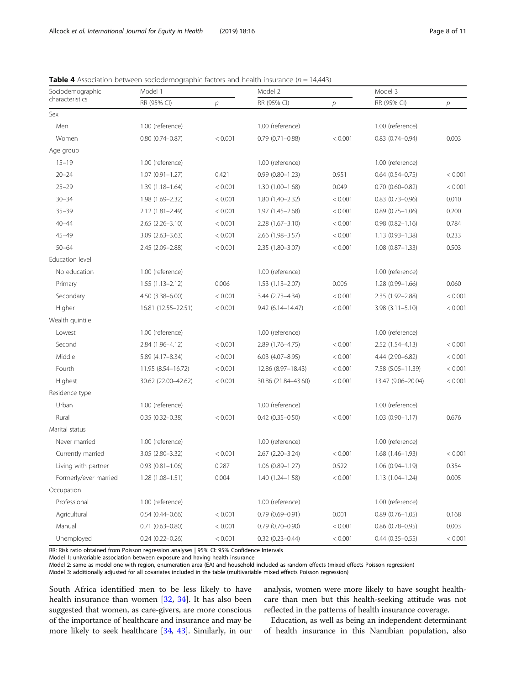| Sociodemographic<br>characteristics | Model 1                |         | Model 2                |         | Model 3                |         |
|-------------------------------------|------------------------|---------|------------------------|---------|------------------------|---------|
|                                     | RR (95% CI)            | р       | RR (95% CI)            | р       | RR (95% CI)            | $\,p\,$ |
| Sex                                 |                        |         |                        |         |                        |         |
| Men                                 | 1.00 (reference)       |         | 1.00 (reference)       |         | 1.00 (reference)       |         |
| Women                               | $0.80(0.74 - 0.87)$    | < 0.001 | $0.79(0.71 - 0.88)$    | < 0.001 | $0.83$ $(0.74 - 0.94)$ | 0.003   |
| Age group                           |                        |         |                        |         |                        |         |
| $15 - 19$                           | 1.00 (reference)       |         | 1.00 (reference)       |         | 1.00 (reference)       |         |
| $20 - 24$                           | $1.07(0.91 - 1.27)$    | 0.421   | $0.99(0.80 - 1.23)$    | 0.951   | $0.64$ $(0.54 - 0.75)$ | < 0.001 |
| $25 - 29$                           | $1.39(1.18 - 1.64)$    | < 0.001 | $1.30(1.00 - 1.68)$    | 0.049   | $0.70(0.60 - 0.82)$    | < 0.001 |
| $30 - 34$                           | 1.98 (1.69-2.32)       | < 0.001 | $1.80(1.40 - 2.32)$    | < 0.001 | $0.83$ (0.73-0.96)     | 0.010   |
| $35 - 39$                           | 2.12 (1.81-2.49)       | < 0.001 | 1.97 (1.45-2.68)       | < 0.001 | $0.89(0.75 - 1.06)$    | 0.200   |
| $40 - 44$                           | $2.65(2.26 - 3.10)$    | < 0.001 | $2.28(1.67 - 3.10)$    | < 0.001 | $0.98(0.82 - 1.16)$    | 0.784   |
| $45 - 49$                           | $3.09(2.63 - 3.63)$    | < 0.001 | 2.66 (1.98-3.57)       | < 0.001 | $1.13(0.93 - 1.38)$    | 0.233   |
| $50 - 64$                           | 2.45 (2.09-2.88)       | < 0.001 | 2.35 (1.80-3.07)       | < 0.001 | $1.08(0.87 - 1.33)$    | 0.503   |
| Education level                     |                        |         |                        |         |                        |         |
| No education                        | 1.00 (reference)       |         | 1.00 (reference)       |         | 1.00 (reference)       |         |
| Primary                             | $1.55(1.13 - 2.12)$    | 0.006   | $1.53(1.13 - 2.07)$    | 0.006   | $1.28(0.99 - 1.66)$    | 0.060   |
| Secondary                           | 4.50 (3.38-6.00)       | < 0.001 | 3.44 (2.73-4.34)       | < 0.001 | 2.35 (1.92-2.88)       | < 0.001 |
| Higher                              | 16.81 (12.55-22.51)    | < 0.001 | $9.42(6.14 - 14.47)$   | < 0.001 | $3.98(3.11 - 5.10)$    | < 0.001 |
| Wealth quintile                     |                        |         |                        |         |                        |         |
| Lowest                              | 1.00 (reference)       |         | 1.00 (reference)       |         | 1.00 (reference)       |         |
| Second                              | 2.84 (1.96-4.12)       | < 0.001 | 2.89 (1.76-4.75)       | < 0.001 | 2.52 (1.54-4.13)       | < 0.001 |
| Middle                              | 5.89 (4.17-8.34)       | < 0.001 | $6.03$ $(4.07 - 8.95)$ | < 0.001 | 4.44 (2.90-6.82)       | < 0.001 |
| Fourth                              | 11.95 (8.54-16.72)     | < 0.001 | 12.86 (8.97-18.43)     | < 0.001 | 7.58 (5.05-11.39)      | < 0.001 |
| Highest                             | 30.62 (22.00-42.62)    | < 0.001 | 30.86 (21.84-43.60)    | < 0.001 | 13.47 (9.06-20.04)     | < 0.001 |
| Residence type                      |                        |         |                        |         |                        |         |
| Urban                               | 1.00 (reference)       |         | 1.00 (reference)       |         | 1.00 (reference)       |         |
| Rural                               | $0.35(0.32 - 0.38)$    | < 0.001 | $0.42(0.35 - 0.50)$    | < 0.001 | $1.03(0.90 - 1.17)$    | 0.676   |
| Marital status                      |                        |         |                        |         |                        |         |
| Never married                       | 1.00 (reference)       |         | 1.00 (reference)       |         | 1.00 (reference)       |         |
| Currently married                   | 3.05 (2.80-3.32)       | < 0.001 | $2.67(2.20 - 3.24)$    | < 0.001 | $1.68(1.46 - 1.93)$    | < 0.001 |
| Living with partner                 | $0.93(0.81 - 1.06)$    | 0.287   | $1.06(0.89 - 1.27)$    | 0.522   | $1.06(0.94 - 1.19)$    | 0.354   |
| Formerly/ever married               | $1.28(1.08 - 1.51)$    | 0.004   | $1.40(1.24 - 1.58)$    | < 0.001 | $1.13(1.04 - 1.24)$    | 0.005   |
| Occupation                          |                        |         |                        |         |                        |         |
| Professional                        | 1.00 (reference)       |         | 1.00 (reference)       |         | 1.00 (reference)       |         |
| Agricultural                        | $0.54(0.44 - 0.66)$    | < 0.001 | $0.79(0.69 - 0.91)$    | 0.001   | $0.89(0.76 - 1.05)$    | 0.168   |
| Manual                              | $0.71$ $(0.63 - 0.80)$ | < 0.001 | $0.79(0.70 - 0.90)$    | < 0.001 | $0.86(0.78 - 0.95)$    | 0.003   |
| Unemployed                          | $0.24(0.22 - 0.26)$    | < 0.001 | $0.32(0.23 - 0.44)$    | < 0.001 | $0.44$ $(0.35 - 0.55)$ | < 0.001 |

<span id="page-7-0"></span>**Table 4** Association between sociodemographic factors and health insurance ( $n = 14,443$ )

RR: Risk ratio obtained from Poisson regression analyses | 95% CI: 95% Confidence Intervals

Model 1: univariable association between exposure and having health insurance

Model 2: same as model one with region, enumeration area (EA) and household included as random effects (mixed effects Poisson regression)

Model 3: additionally adjusted for all covariates included in the table (multivariable mixed effects Poisson regression)

South Africa identified men to be less likely to have health insurance than women [[32,](#page-10-0) [34\]](#page-10-0). It has also been suggested that women, as care-givers, are more conscious of the importance of healthcare and insurance and may be more likely to seek healthcare [[34](#page-10-0), [43](#page-10-0)]. Similarly, in our

analysis, women were more likely to have sought healthcare than men but this health-seeking attitude was not reflected in the patterns of health insurance coverage.

Education, as well as being an independent determinant of health insurance in this Namibian population, also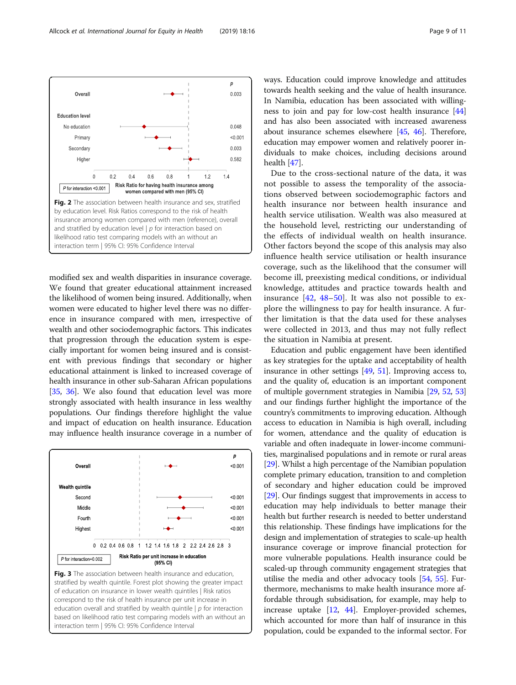<span id="page-8-0"></span>

modified sex and wealth disparities in insurance coverage. We found that greater educational attainment increased the likelihood of women being insured. Additionally, when women were educated to higher level there was no difference in insurance compared with men, irrespective of wealth and other sociodemographic factors. This indicates that progression through the education system is especially important for women being insured and is consistent with previous findings that secondary or higher educational attainment is linked to increased coverage of health insurance in other sub-Saharan African populations [[35](#page-10-0), [36\]](#page-10-0). We also found that education level was more strongly associated with health insurance in less wealthy populations. Our findings therefore highlight the value and impact of education on health insurance. Education may influence health insurance coverage in a number of



correspond to the risk of health insurance per unit increase in education overall and stratified by wealth quintile  $|p|$  for interaction based on likelihood ratio test comparing models with an without an interaction term | 95% CI: 95% Confidence Interval

ways. Education could improve knowledge and attitudes towards health seeking and the value of health insurance. In Namibia, education has been associated with willingness to join and pay for low-cost health insurance [[44](#page-10-0)] and has also been associated with increased awareness about insurance schemes elsewhere [[45](#page-10-0), [46\]](#page-10-0). Therefore, education may empower women and relatively poorer individuals to make choices, including decisions around health [\[47\]](#page-10-0).

Due to the cross-sectional nature of the data, it was not possible to assess the temporality of the associations observed between sociodemographic factors and health insurance nor between health insurance and health service utilisation. Wealth was also measured at the household level, restricting our understanding of the effects of individual wealth on health insurance. Other factors beyond the scope of this analysis may also influence health service utilisation or health insurance coverage, such as the likelihood that the consumer will become ill, preexisting medical conditions, or individual knowledge, attitudes and practice towards health and insurance  $[42, 48-50]$  $[42, 48-50]$  $[42, 48-50]$  $[42, 48-50]$  $[42, 48-50]$  $[42, 48-50]$  $[42, 48-50]$ . It was also not possible to explore the willingness to pay for health insurance. A further limitation is that the data used for these analyses were collected in 2013, and thus may not fully reflect the situation in Namibia at present.

Education and public engagement have been identified as key strategies for the uptake and acceptability of health insurance in other settings [[49](#page-10-0), [51\]](#page-10-0). Improving access to, and the quality of, education is an important component of multiple government strategies in Namibia [[29](#page-10-0), [52](#page-10-0), [53](#page-10-0)] and our findings further highlight the importance of the country's commitments to improving education. Although access to education in Namibia is high overall, including for women, attendance and the quality of education is variable and often inadequate in lower-income communities, marginalised populations and in remote or rural areas [[29](#page-10-0)]. Whilst a high percentage of the Namibian population complete primary education, transition to and completion of secondary and higher education could be improved [[29](#page-10-0)]. Our findings suggest that improvements in access to education may help individuals to better manage their health but further research is needed to better understand this relationship. These findings have implications for the design and implementation of strategies to scale-up health insurance coverage or improve financial protection for more vulnerable populations. Health insurance could be scaled-up through community engagement strategies that utilise the media and other advocacy tools [\[54,](#page-10-0) [55](#page-10-0)]. Furthermore, mechanisms to make health insurance more affordable through subsidisation, for example, may help to increase uptake [\[12,](#page-10-0) [44\]](#page-10-0). Employer-provided schemes, which accounted for more than half of insurance in this population, could be expanded to the informal sector. For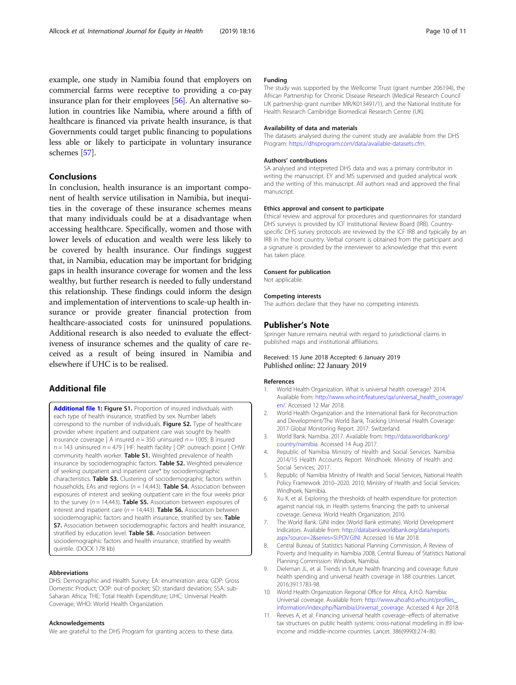<span id="page-9-0"></span>example, one study in Namibia found that employers on commercial farms were receptive to providing a co-pay insurance plan for their employees [\[56\]](#page-10-0). An alternative solution in countries like Namibia, where around a fifth of healthcare is financed via private health insurance, is that Governments could target public financing to populations less able or likely to participate in voluntary insurance schemes [\[57\]](#page-10-0).

# Conclusions

In conclusion, health insurance is an important component of health service utilisation in Namibia, but inequities in the coverage of these insurance schemes means that many individuals could be at a disadvantage when accessing healthcare. Specifically, women and those with lower levels of education and wealth were less likely to be covered by health insurance. Our findings suggest that, in Namibia, education may be important for bridging gaps in health insurance coverage for women and the less wealthy, but further research is needed to fully understand this relationship. These findings could inform the design and implementation of interventions to scale-up health insurance or provide greater financial protection from healthcare-associated costs for uninsured populations. Additional research is also needed to evaluate the effectiveness of insurance schemes and the quality of care received as a result of being insured in Namibia and elsewhere if UHC is to be realised.

# Additional file

[Additional file 1:](https://doi.org/10.1186/s12939-019-0915-4) Figure S1. Proportion of insured individuals with each type of health insurance, stratified by sex. Number labels correspond to the number of individuals. Figure S2. Type of healthcare provider where inpatient and outpatient care was sought by health insurance coverage | A insured  $n = 350$  uninsured  $n = 1005$ ; B insured  $n = 143$  uninsured  $n = 479$  | HF: health facility | OP: outreach point | CHW: community health worker. Table S1. Weighted prevalence of health insurance by sociodemographic factors. Table S2. Weighted prevalence of seeking outpatient and inpatient care\* by sociodemographic characteristics. Table S3. Clustering of sociodemographic factors within households, EAs and regions ( $n = 14,443$ ). Table S4. Association between exposures of interest and seeking outpatient care in the four weeks prior to the survey ( $n = 14,443$ ). Table S5. Association between exposures of interest and inpatient care ( $n = 14,443$ ). **Table S6.** Association between sociodemographic factors and health insurance, stratified by sex. Table **S7.** Association between sociodemographic factors and health insurance, stratified by education level. Table S8. Association between sociodemographic factors and health insurance, stratified by wealth quintile. (DOCX 178 kb)

#### Abbreviations

DHS: Demographic and Health Survey; EA: enumeration area; GDP: Gross Domestic Product; OOP: out-of-pocket; SD: standard deviation; SSA: sub-Saharan Africa; THE: Total Health Expenditure; UHC: Universal Health Coverage; WHO: World Health Organization

# Acknowledgements

We are grateful to the DHS Program for granting access to these data.

### Funding

The study was supported by the Wellcome Trust (grant number 206194), the African Partnership for Chronic Disease Research (Medical Research Council UK partnership grant number MR/K013491/1), and the National Institute for Health Research Cambridge Biomedical Research Centre (UK).

#### Availability of data and materials

The datasets analysed during the current study are available from the DHS Program: <https://dhsprogram.com/data/available-datasets.cfm>.

#### Authors' contributions

SA analysed and interpreted DHS data and was a primary contributor in writing the manuscript. EY and MS supervised and guided analytical work and the writing of this manuscript. All authors read and approved the final manuscript.

# Ethics approval and consent to participate

Ethical review and approval for procedures and questionnaires for standard DHS surveys is provided by ICF Institutional Review Board (IRB). Countryspecific DHS survey protocols are reviewed by the ICF IRB and typically by an IRB in the host country. Verbal consent is obtained from the participant and a signature is provided by the interviewer to acknowledge that this event has taken place.

#### Consent for publication

Not applicable.

#### Competing interests

The authors declare that they have no competing interests.

#### Publisher's Note

Springer Nature remains neutral with regard to jurisdictional claims in published maps and institutional affiliations.

# Received: 15 June 2018 Accepted: 6 January 2019 Published online: 22 January 2019

#### References

- 1. World Health Organization. What is universal health coverage? 2014. Available from: [http://www.who.int/features/qa/universal\\_health\\_coverage/](http://www.who.int/features/qa/universal_health_coverage/en/) [en/](http://www.who.int/features/qa/universal_health_coverage/en/). Accessed 12 Mar 2018.
- 2. World Health Organization and the International Bank for Reconstruction and Development/The World Bank, Tracking Universal Health Coverage: 2017 Global Monitoring Report. 2017: Switzerland.
- 3. World Bank. Namibia. 2017. Available from: [http://data.worldbank.org/](http://data.worldbank.org/country/namibia) [country/namibia.](http://data.worldbank.org/country/namibia) Accessed 14 Aug 2017.
- 4. Republic of Namibia Ministry of Health and Social Services. Namibia 2014/15 Health Accounts Report. Windhoek: Ministry of Health and Social Services; 2017.
- 5. Republic of Namibia Ministry of Health and Social Services, National Health Policy Framework 2010–2020. 2010, Ministry of Health and Social Services: Windhoek, Namibia.
- 6. Xu K, et al. Exploring the thresholds of health expenditure for protection against nancial risk, in Health systems financing: the path to universal coverage. Geneva: World Health Organization; 2010.
- 7. The World Bank. GINI index (World Bank estimate). World Development Indicators. Available from: [http://databank.worldbank.org/data/reports.](http://databank.worldbank.org/data/reports.aspx?source=2&series=SI.POV.GINI) [aspx?source=2&series=SI.POV.GINI](http://databank.worldbank.org/data/reports.aspx?source=2&series=SI.POV.GINI). Accessed 16 Mar 2018.
- 8. Central Bureau of Statistics National Planning Commission, A Review of Poverty and Inequality in Namibia 2008, Central Bureau of Statistics National Planning Commission: Windoek, Namibia.
- 9. Dieleman JL, et al. Trends in future health financing and coverage: future health spending and universal health coverage in 188 countries. Lancet. 2016;391:1783-98.
- 10. World Health Organization Regional Office for Africa, A.H.O. Namibia: Universal coverage. Available from: [http://www.aho.afro.who.int/profiles\\_](http://www.aho.afro.who.int/profiles_information/index.php/Namibia:Universal_coverage) [information/index.php/Namibia:Universal\\_coverage](http://www.aho.afro.who.int/profiles_information/index.php/Namibia:Universal_coverage). Accessed 4 Apr 2018.
- 11. Reeves A, et al. Financing universal health coverage--effects of alternative tax structures on public health systems: cross-national modelling in 89 lowincome and middle-income countries. Lancet. 386(9990):274–80.